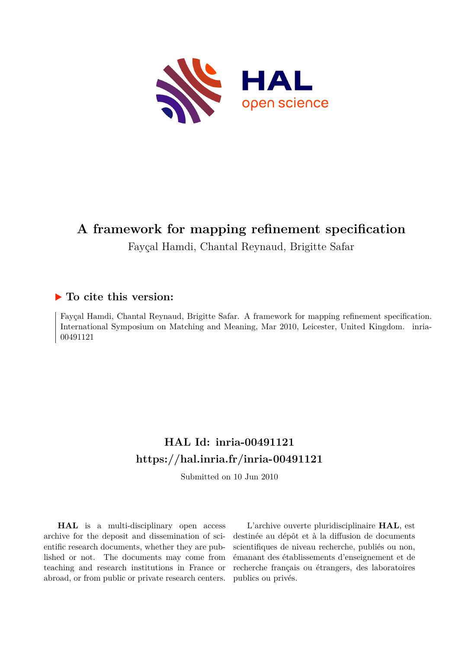

# **A framework for mapping refinement specification**

Fayçal Hamdi, Chantal Reynaud, Brigitte Safar

# **To cite this version:**

Fayçal Hamdi, Chantal Reynaud, Brigitte Safar. A framework for mapping refinement specification. International Symposium on Matching and Meaning, Mar 2010, Leicester, United Kingdom. inria-00491121ff

# **HAL Id: inria-00491121 <https://hal.inria.fr/inria-00491121>**

Submitted on 10 Jun 2010

**HAL** is a multi-disciplinary open access archive for the deposit and dissemination of scientific research documents, whether they are published or not. The documents may come from teaching and research institutions in France or abroad, or from public or private research centers.

L'archive ouverte pluridisciplinaire **HAL**, est destinée au dépôt et à la diffusion de documents scientifiques de niveau recherche, publiés ou non, émanant des établissements d'enseignement et de recherche français ou étrangers, des laboratoires publics ou privés.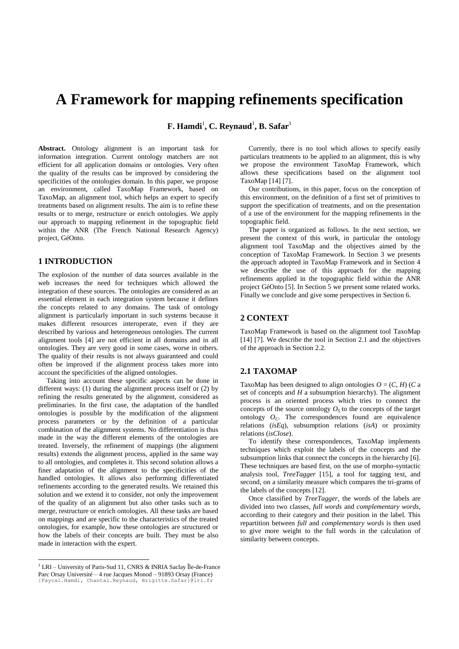# **A Framework for mapping refinements specification**

 $\mathbf{F}.$  **Hamdi** $^1$ **, C. Reynaud** $^1$ **, B. Safar** $^1$ 

**Abstract.** Ontology alignment is an important task for information integration. Current ontology matchers are not efficient for all application domains or ontologies. Very often the quality of the results can be improved by considering the specificities of the ontologies domain. In this paper, we propose an environment, called TaxoMap Framework, based on TaxoMap, an alignment tool, which helps an expert to specify treatments based on alignment results. The aim is to refine these results or to merge, restructure or enrich ontologies. We apply our approach to mapping refinement in the topographic field within the ANR (The French National Research Agency) project, GéOnto.

#### **1 INTRODUCTION**

The explosion of the number of data sources available in the web increases the need for techniques which allowed the integration of these sources. The ontologies are considered as an essential element in each integration system because it defines the concepts related to any domains. The task of ontology alignment is particularly important in such systems because it makes different resources interoperate, even if they are described by various and heterogeneous ontologies. The current alignment tools [4] are not efficient in all domains and in all ontologies. They are very good in some cases, worse in others. The quality of their results is not always guaranteed and could often be improved if the alignment process takes more into account the specificities of the aligned ontologies.

Taking into account these specific aspects can be done in different ways: (1) during the alignment process itself or (2) by refining the results generated by the alignment, considered as preliminaries. In the first case, the adaptation of the handled ontologies is possible by the modification of the alignment process parameters or by the definition of a particular combination of the alignment systems. No differentiation is thus made in the way the different elements of the ontologies are treated. Inversely, the refinement of mappings (the alignment results) extends the alignment process, applied in the same way to all ontologies, and completes it. This second solution allows a finer adaptation of the alignment to the specificities of the handled ontologies. It allows also performing differentiated refinements according to the generated results. We retained this solution and we extend it to consider, not only the improvement of the quality of an alignment but also other tasks such as to merge, restructure or enrich ontologies. All these tasks are based on mappings and are specific to the characteristics of the treated ontologies, for example, how these ontologies are structured or how the labels of their concepts are built. They must be also made in interaction with the expert.

 $\overline{a}$ 

Currently, there is no tool which allows to specify easily particulars treatments to be applied to an alignment, this is why we propose the environment TaxoMap Framework, which allows these specifications based on the alignment tool TaxoMap [14] [7].

Our contributions, in this paper, focus on the conception of this environment, on the definition of a first set of primitives to support the specification of treatments, and on the presentation of a use of the environment for the mapping refinements in the topographic field.

The paper is organized as follows. In the next section, we present the context of this work, in particular the ontology alignment tool TaxoMap and the objectives aimed by the conception of TaxoMap Framework. In Section 3 we presents the approach adopted in TaxoMap Framework and in Section 4 we describe the use of this approach for the mapping refinements applied in the topographic field within the ANR project GéOnto [5]. In Section 5 we present some related works. Finally we conclude and give some perspectives in Section 6.

#### **2 CONTEXT**

TaxoMap Framework is based on the alignment tool TaxoMap [14] [7]. We describe the tool in Section 2.1 and the objectives of the approach in Section 2.2.

#### **2.1 TAXOMAP**

TaxoMap has been designed to align ontologies  $O = (C, H)$  (*C* a set of concepts and *H* a subsumption hierarchy). The alignment process is an oriented process which tries to connect the concepts of the source ontology  $O<sub>S</sub>$  to the concepts of the target ontology  $O_C$ . The correspondences found are equivalence relations (*isEq*), subsumption relations (*isA*) or proximity relations (*isClose*).

To identify these correspondences, TaxoMap implements techniques which exploit the labels of the concepts and the subsumption links that connect the concepts in the hierarchy [6]. These techniques are based first, on the use of morpho-syntactic analysis tool, *TreeTagger* [15], a tool for tagging text, and second, on a similarity measure which compares the tri-grams of the labels of the concepts [12].

Once classified by *TreeTagger*, the words of the labels are divided into two classes, *full words* and *complementary words*, according to their category and their position in the label. This repartition between *full* and *complementary words* is then used to give more weight to the full words in the calculation of similarity between concepts.

<sup>1</sup> LRI – University of Paris-Sud 11, CNRS & INRIA Saclay Île-de-France Parc Orsay Université – 4 rue Jacques Monod – 91893 Orsay (France) {Faycal.Hamdi, Chantal.Reynaud, Brigitte.Safar}@lri.fr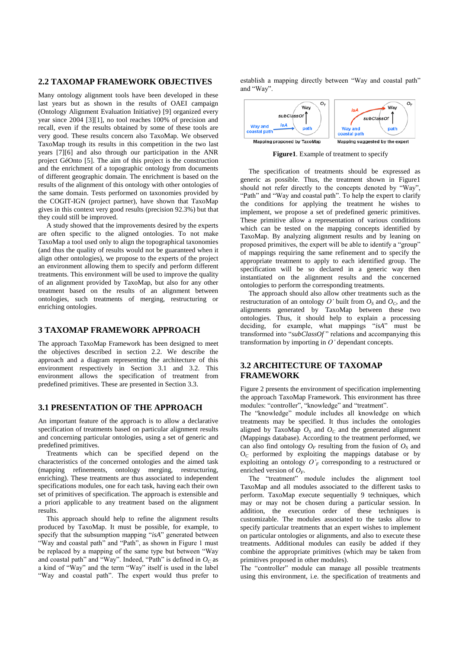#### **2.2 TAXOMAP FRAMEWORK OBJECTIVES**

Many ontology alignment tools have been developed in these last years but as shown in the results of OAEI campaign (Ontology Alignment Evaluation Initiative) [9] organized every year since 2004 [3][1], no tool reaches 100% of precision and recall, even if the results obtained by some of these tools are very good. These results concern also TaxoMap. We observed TaxoMap trough its results in this competition in the two last years [7][6] and also through our participation in the ANR project GéOnto [5]. The aim of this project is the construction and the enrichment of a topographic ontology from documents of different geographic domain. The enrichment is based on the results of the alignment of this ontology with other ontologies of the same domain. Tests performed on taxonomies provided by the COGIT-IGN (project partner), have shown that TaxoMap gives in this context very good results (precision 92.3%) but that they could still be improved.

A study showed that the improvements desired by the experts are often specific to the aligned ontologies. To not make TaxoMap a tool used only to align the topographical taxonomies (and thus the quality of results would not be guaranteed when it align other ontologies), we propose to the experts of the project an environment allowing them to specify and perform different treatments. This environment will be used to improve the quality of an alignment provided by TaxoMap, but also for any other treatment based on the results of an alignment between ontologies, such treatments of merging, restructuring or enriching ontologies.

#### **3 TAXOMAP FRAMEWORK APPROACH**

The approach TaxoMap Framework has been designed to meet the objectives described in section 2.2. We describe the approach and a diagram representing the architecture of this environment respectively in Section 3.1 and 3.2. This environment allows the specification of treatment from predefined primitives. These are presented in Section 3.3.

#### **3.1 PRESENTATION OF THE APPROACH**

An important feature of the approach is to allow a declarative specification of treatments based on particular alignment results and concerning particular ontologies, using a set of generic and predefined primitives.

Treatments which can be specified depend on the characteristics of the concerned ontologies and the aimed task (mapping refinements, ontology merging, restructuring, enriching). These treatments are thus associated to independent specifications modules, one for each task, having each their own set of primitives of specification. The approach is extensible and a priori applicable to any treatment based on the alignment results.

This approach should help to refine the alignment results produced by TaxoMap. It must be possible, for example, to specify that the subsumption mapping "*isA*" generated between "Way and coastal path" and "Path", as shown in Figure 1 must be replaced by a mapping of the same type but between "Way and coastal path" and "Way". Indeed, "Path" is defined in  $O<sub>C</sub>$  as a kind of "Way" and the term "Way" itself is used in the label "Way and coastal path". The expert would thus prefer to

establish a mapping directly between "Way and coastal path" and "Way".



**Figure1**. Example of treatment to specify

The specification of treatments should be expressed as generic as possible. Thus, the treatment shown in Figure1 should not refer directly to the concepts denoted by "Way", "Path" and "Way and coastal path". To help the expert to clarify the conditions for applying the treatment he wishes to implement, we propose a set of predefined generic primitives. These primitive allow a representation of various conditions which can be tested on the mapping concepts identified by TaxoMap. By analyzing alignment results and by leaning on proposed primitives, the expert will be able to identify a "group" of mappings requiring the same refinement and to specify the appropriate treatment to apply to each identified group. The specification will be so declared in a generic way then instantiated on the alignment results and the concerned ontologies to perform the corresponding treatments.

The approach should also allow other treatments such as the restructuration of an ontology  $O'$  built from  $O_S$  and  $O_C$ , and the alignments generated by TaxoMap between these two ontologies. Thus, it should help to explain a processing deciding, for example, what mappings "*isA*" must be transformed into "*subClassOf* " relations and accompanying this transformation by importing in *O'* dependant concepts.

#### **3.2 ARCHITECTURE OF TAXOMAP FRAMEWORK**

Figure 2 presents the environment of specification implementing the approach TaxoMap Framework. This environment has three modules: "controller", "knowledge" and "treatment".

The "knowledge" module includes all knowledge on which treatments may be specified. It thus includes the ontologies aligned by TaxoMap  $O_S$  and  $O_C$  and the generated alignment (Mappings database). According to the treatment performed, we can also find ontology  $O_F$  resulting from the fusion of  $O_S$  and O*<sup>C</sup>* performed by exploiting the mappings database or by exploiting an ontology  $O'$ <sup>F</sup> corresponding to a restructured or enriched version of  $O_F$ .

The "treatment" module includes the alignment tool TaxoMap and all modules associated to the different tasks to perform. TaxoMap execute sequentially 9 techniques, which may or may not be chosen during a particular session. In addition, the execution order of these techniques is customizable. The modules associated to the tasks allow to specify particular treatments that an expert wishes to implement on particular ontologies or alignments, and also to execute these treatments. Additional modules can easily be added if they combine the appropriate primitives (which may be taken from primitives proposed in other modules).

The "controller" module can manage all possible treatments using this environment, i.e. the specification of treatments and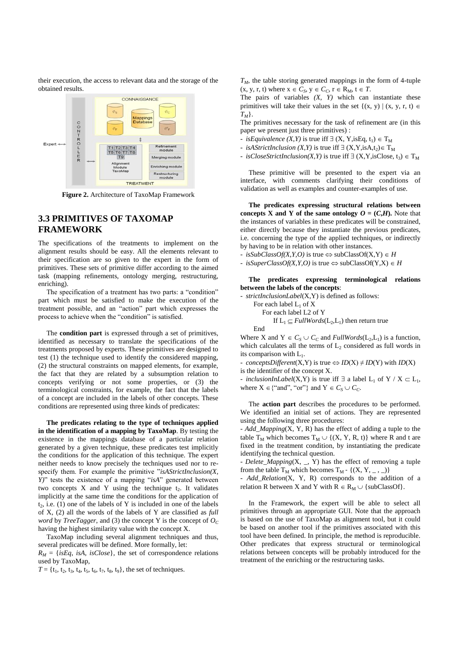their execution, the access to relevant data and the storage of the obtained results.



**Figure 2.** Architecture of TaxoMap Framework

# **3.3 PRIMITIVES OF TAXOMAP FRAMEWORK**

The specifications of the treatments to implement on the alignment results should be easy. All the elements relevant to their specification are so given to the expert in the form of primitives. These sets of primitive differ according to the aimed task (mapping refinements, ontology merging, restructuring, enriching).

The specification of a treatment has two parts: a "condition" part which must be satisfied to make the execution of the treatment possible, and an "action" part which expresses the process to achieve when the "condition" is satisfied.

The **condition part** is expressed through a set of primitives, identified as necessary to translate the specifications of the treatments proposed by experts. These primitives are designed to test (1) the technique used to identify the considered mapping, (2) the structural constraints on mapped elements, for example, the fact that they are related by a subsumption relation to concepts verifying or not some properties, or (3) the terminological constraints, for example, the fact that the labels of a concept are included in the labels of other concepts. These conditions are represented using three kinds of predicates:

**The predicates relating to the type of techniques applied in the identification of a mapping by TaxoMap**. By testing the existence in the mappings database of a particular relation generated by a given technique, these predicates test implicitly the conditions for the application of this technique. The expert neither needs to know precisely the techniques used nor to respecify them. For example the primitive "*isAStrictInclusion(X, Y)*" tests the existence of a mapping "*isA*" generated between two concepts  $X$  and  $Y$  using the technique  $t_2$ . It validates implicitly at the same time the conditions for the application of  $t_2$ , i.e. (1) one of the labels of Y is included in one of the labels of X, (2) all the words of the labels of Y are classified as *full word* by *TreeTagger*, and (3) the concept Y is the concept of  $O<sub>C</sub>$ having the highest similarity value with the concept X.

TaxoMap including several alignment techniques and thus, several predicates will be defined. More formally, let:

 $R_M = \{isEq, isA, isClose\}$ , the set of correspondence relations used by TaxoMap,

 $T = \{t_1, t_2, t_3, t_4, t_5, t_6, t_7, t_8, t_9\}$ , the set of techniques.

 $T_M$ , the table storing generated mappings in the form of 4-tuple  $(x, y, r, t)$  where  $x \in C_S$ ,  $y \in C_C$ ,  $r \in R_M$ ,  $t \in T$ .

The pairs of variables *(X, Y)* which can instantiate these primitives will take their values in the set  $\{(x, y) | (x, y, r, t) \in$ *TM*}.

The primitives necessary for the task of refinement are (in this paper we present just three primitives) :

- *isEquivalence*  $(X, Y)$  is true iff  $\exists (X, Y, i \in \mathbb{R}, t_1) \in T_M$
- *isAStrictInclusion* (*X,Y*) is true iff  $\exists$  (*X,Y,isA,t<sub>2</sub>*) $\in$  T<sub>M</sub>
- *isCloseStrictInclusion*(*X,Y*) is true iff  $\exists$  (*X,Y,isClose, t<sub>3</sub>)*  $\in$  T<sub>M</sub>

These primitive will be presented to the expert via an interface, with comments clarifying their conditions of validation as well as examples and counter-examples of use.

**The predicates expressing structural relations between concepts X and Y of the same ontology**  $O = (C, H)$ **. Note that** the instances of variables in these predicates will be constrained, either directly because they instantiate the previous predicates, i.e. concerning the type of the applied techniques, or indirectly by having to be in relation with other instances.

- $-$  *isSubClassOf(X,Y,O)* is true  $\Leftrightarrow$  subClassOf(X,Y)  $\in$  *H*
- $-$  *isSuperClassOf(X,Y,O)* is true  $\Leftrightarrow$  subClassOf(Y,X)  $\in$  H

**The predicates expressing terminological relations between the labels of the concepts**:

- *strictInclusionLabel*(X,Y) is defined as follows: For each label  $L_1$  of X For each label L2 of Y If  $L_1 \subseteq \text{FullWords}(L_2, L_1)$  then return true End

Where X and  $Y \in C_S \cup C_C$  and *FullWords*( $L_2, L_1$ ) is a function, which calculates all the terms of  $L_2$  considered as full words in its comparison with  $L_1$ .

- *conceptsDifferent*(X,Y) is true  $\Leftrightarrow$  *ID*(X)  $\neq$  *ID*(Y) with *ID*(X)

is the identifier of the concept X.

- *inclusionInLabel*(X,Y) is true iff  $\exists$  a label L<sub>1</sub> of Y / X  $\subset$  L<sub>1</sub>, where  $X \in \{``and", ``or"\}$  and  $Y \in C_S \cup C_C$ .

The **action part** describes the procedures to be performed. We identified an initial set of actions. They are represented using the following three procedures:

- *Add\_Mapping*(X, Y, R) has the effect of adding a tuple to the table T<sub>M</sub> which becomes  $T_M \cup \{(X, Y, R, t)\}\$  where R and t are fixed in the treatment condition, by instantiating the predicate identifying the technical question.

- *Delete\_Mapping*(X, \_, Y) has the effect of removing a tuple from the table  $T_M$  which becomes  $T_M$  - { $(X, Y, \_ , \_ )$ }

- *Add\_Relation*(X, Y, R) corresponds to the addition of a relation R between X and Y with  $R \in R_M \cup \{subClassOf\}.$ 

In the Framework, the expert will be able to select all primitives through an appropriate GUI. Note that the approach is based on the use of TaxoMap as alignment tool, but it could be based on another tool if the primitives associated with this tool have been defined. In principle, the method is reproducible. Other predicates that express structural or terminological relations between concepts will be probably introduced for the treatment of the enriching or the restructuring tasks.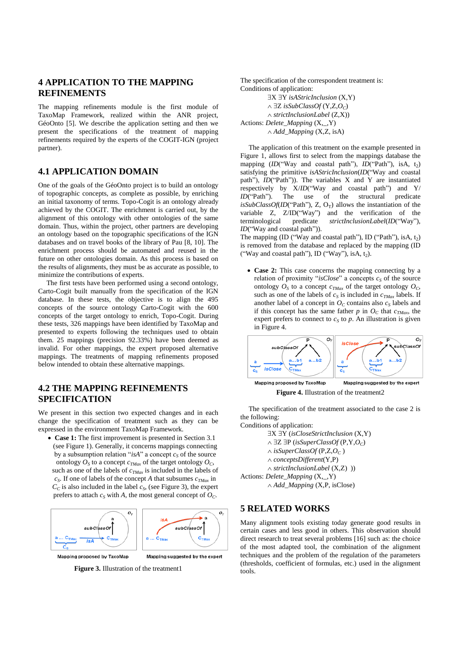### **4 APPLICATION TO THE MAPPING REFINEMENTS**

The mapping refinements module is the first module of TaxoMap Framework, realized within the ANR project, GéoOnto [5]. We describe the application setting and then we present the specifications of the treatment of mapping refinements required by the experts of the COGIT-IGN (project partner).

### **4.1 APPLICATION DOMAIN**

One of the goals of the GéoOnto project is to build an ontology of topographic concepts, as complete as possible, by enriching an initial taxonomy of terms. Topo-Cogit is an ontology already achieved by the COGIT. The enrichment is carried out, by the alignment of this ontology with other ontologies of the same domain. Thus, within the project, other partners are developing an ontology based on the topographic specifications of the IGN databases and on travel books of the library of Pau [8, 10]. The enrichment process should be automated and reused in the future on other ontologies domain. As this process is based on the results of alignments, they must be as accurate as possible, to minimize the contributions of experts.

The first tests have been performed using a second ontology, Carto-Cogit built manually from the specification of the IGN database. In these tests, the objective is to align the 495 concepts of the source ontology Carto-Cogit with the 600 concepts of the target ontology to enrich, Topo-Cogit. During these tests, 326 mappings have been identified by TaxoMap and presented to experts following the techniques used to obtain them. 25 mappings (precision 92.33%) have been deemed as invalid. For other mappings, the expert proposed alternative mappings. The treatments of mapping refinements proposed below intended to obtain these alternative mappings.

# **4.2 THE MAPPING REFINEMENTS SPECIFICATION**

We present in this section two expected changes and in each change the specification of treatment such as they can be expressed in the environment TaxoMap Framework.

 **Case 1:** The first improvement is presented in Section 3.1 (see Figure 1). Generally, it concerns mappings connecting by a subsumption relation "*isA*" a concept  $c<sub>S</sub>$  of the source ontology  $O_S$  to a concept  $c_{TMax}$  of the target ontology  $O_C$ , such as one of the labels of *cTMax* is included in the labels of *cS* . If one of labels of the concept *A* that subsumes *cTMax* in

 $C_C$  is also included in the label  $c_S$ , (see Figure 3), the expert prefers to attach  $c<sub>S</sub>$  with *A*, the most general concept of  $O<sub>C</sub>$ .



Mapping proposed by TaxoMap

Mapping suggested by the expert

**Figure 3.** Illustration of the treatment1

The specification of the correspondent treatment is: Conditions of application: **EX EY** *isAStricInclusion* (X,Y)

 $\land \exists Z$  *isSubClassOf* (Y,Z,O<sub>C</sub>) *strictInclusionLabel* (Z,X)) Actions: *Delete\_Mapping* (X,\_,Y) *Add\_Mapping* (X,Z, isA)

The application of this treatment on the example presented in Figure 1, allows first to select from the mappings database the mapping (*ID*("Way and coastal path"), *ID*("Path"), isA, t<sub>2</sub>) satisfying the primitive *isAStricInclusion*(*ID*("Way and coastal path"), *ID*("Path")). The variables X and Y are instantiated respectively by X/*ID*("Way and coastal path") and Y/ *ID*("Path"). The use of the structural predicate *isSubClassOf(ID*("Path"), Z,  $O_T$ ) allows the instantiation of the variable Z, Z/ID("Way") and the verification of the terminological predicate *strictInclusionLabel*(*ID*("Way"), *ID*("Way and coastal path")).

The mapping (ID ("Way and coastal path"), ID ("Path"), isA,  $t_2$ ) is removed from the database and replaced by the mapping (ID ("Way and coastal path"), ID ("Way"), isA,  $t_2$ ).

 **Case 2:** This case concerns the mapping connecting by a relation of proximity "*isClose*" a concepts  $c<sub>S</sub>$  of the source ontology  $O_S$  to a concept  $c_{TMax}$  of the target ontology  $O_C$ , such as one of the labels of  $c_S$  is included in  $c_{TMax}$  labels. If another label of a concept in  $O<sub>C</sub>$  contains also  $c<sub>S</sub>$  labels and if this concept has the same father *p* in  $O<sub>C</sub>$  that  $c<sub>TMax</sub>$ , the expert prefers to connect to  $c<sub>S</sub>$  to  $p$ . An illustration is given in Figure 4.



The specification of the treatment associated to the case 2 is

the following: Conditions of application:

X Y (*isCloseStrictInclusion* (X,Y)  $\land \exists Z \exists P \ (isSuperClassOf(P, Y, O_C)$  $\land$  *isSuperClassOf* (P,Z, $O_C$ ) *conceptsDifferent*(Y,P) *strictInclusionLabel* (X,Z) )) Actions: *Delete\_Mapping* (X,\_,Y) *Add\_Mapping* (X,P, isClose)

#### **5 RELATED WORKS**

Many alignment tools existing today generate good results in certain cases and less good in others. This observation should direct research to treat several problems [16] such as: the choice of the most adapted tool, the combination of the alignment techniques and the problem of the regulation of the parameters (thresholds, coefficient of formulas, etc.) used in the alignment tools.